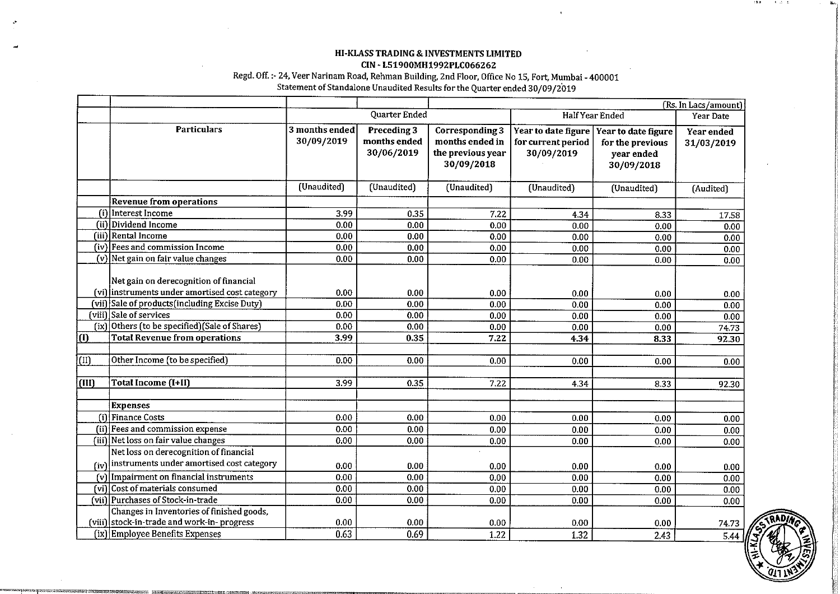### HI-KLASS TRADING & INVESTMENTS LIMITED CIN - L51900MH1992PLC066262

### Regd. Off. :- 24,Veer Narinam Road, Rehman Building. 2nd Floor, Office No 15, Fort, Mumbai - 400001 Statement of Standalone Unaudited Results for the Quarter ended 30/09/2019

|                           |                                                                                            |                              | (Rs. In Lacs/amount)                      |                                                                       |                                                         |                                                                     |                          |
|---------------------------|--------------------------------------------------------------------------------------------|------------------------------|-------------------------------------------|-----------------------------------------------------------------------|---------------------------------------------------------|---------------------------------------------------------------------|--------------------------|
|                           |                                                                                            | Quarter Ended                |                                           | Half Year Ended                                                       |                                                         | Year Date                                                           |                          |
|                           | <b>Particulars</b>                                                                         | 3 months ended<br>30/09/2019 | Preceding 3<br>months ended<br>30/06/2019 | Corresponding 3<br>months ended in<br>the previous year<br>30/09/2018 | Year to date figure<br>for current period<br>30/09/2019 | Year to date figure<br>for the previous<br>year ended<br>30/09/2018 | Year ended<br>31/03/2019 |
|                           |                                                                                            | (Unaudited)                  | (Unaudited)                               | (Unaudited)                                                           | (Unaudited)                                             | (Unaudited)                                                         | (Audited)                |
|                           | <b>Revenue from operations</b>                                                             |                              |                                           |                                                                       |                                                         |                                                                     |                          |
| (i)                       | Interest Income                                                                            | 3.99                         | 0.35                                      | 7.22                                                                  | 4.34                                                    | 8.33                                                                | 17.58                    |
|                           | $(i)$ Dividend Income                                                                      | 0.00                         | 0.00                                      | 0.00                                                                  | 0.00                                                    | 0.00                                                                | 0.00                     |
|                           | (iii) Rental Income                                                                        | 0.00                         | 0.00                                      | 0.00                                                                  | 0.00                                                    | 0.00                                                                | 0.00                     |
|                           | (iv) Fees and commission Income                                                            | 0.00                         | 0.00                                      | 0.00                                                                  | 0.00                                                    | 0.00                                                                | 0.00                     |
|                           | (v) Net gain on fair value changes                                                         | 0.00                         | 0.00                                      | 0.00                                                                  | 0.00                                                    | 0.00                                                                | 0.00                     |
|                           | Net gain on derecognition of financial<br>(vi) instruments under amortised cost category   |                              |                                           |                                                                       |                                                         |                                                                     |                          |
|                           | (vii) Sale of products (including Excise Duty)                                             | 0.00<br>0.00                 | 0.00<br>0.00                              | 0.00<br>0.00                                                          | 0.00                                                    | 0.00                                                                | 0.00                     |
|                           | (viii) Sale of services                                                                    | 0.00                         | 0.00                                      | 0.00                                                                  | 0.00<br>0.00                                            | 0.00<br>0.00                                                        | 0.00                     |
|                           | (ix) Others (to be specified) (Sale of Shares)                                             | 0.00                         | 0.00                                      | 0.00                                                                  | 0.00                                                    | 0.00                                                                | 0.00                     |
| $\overline{(\mathbf{0})}$ | <b>Total Revenue from operations</b>                                                       | 3.99                         | 0.35                                      | 7.22                                                                  | 4.34                                                    | 8.33                                                                | 74.73<br>92.30           |
|                           |                                                                                            |                              |                                           |                                                                       |                                                         |                                                                     |                          |
| (II)                      | Other Income (to be specified)                                                             | 0.00                         | 0.00                                      | 0.00                                                                  | 0.00                                                    | 0.00                                                                | 0.00                     |
| (III)                     | Total Income (I+II)                                                                        | 3.99                         | 0.35                                      | 7.22                                                                  | 4.34                                                    | 8.33                                                                | 92.30                    |
|                           |                                                                                            |                              |                                           |                                                                       |                                                         |                                                                     |                          |
|                           | <b>Expenses</b>                                                                            |                              |                                           |                                                                       |                                                         |                                                                     |                          |
|                           | (i) Finance Costs                                                                          | 0.00                         | 0.00                                      | 0.00                                                                  | 0.00                                                    | 0.00                                                                | 0.00                     |
|                           | (ii) Fees and commission expense                                                           | 0.00                         | 0.00                                      | 0.00                                                                  | 0.00                                                    | 0.00                                                                | 0.00                     |
|                           | (iii) Net loss on fair value changes                                                       | 0.00                         | 0.00                                      | 0.00                                                                  | 0.00                                                    | 0.00                                                                | 0.00                     |
|                           | Net loss on derecognition of financial<br>$(iv)$ instruments under amortised cost category |                              |                                           |                                                                       |                                                         |                                                                     |                          |
|                           |                                                                                            | 0.00                         | 0.00                                      | 0.00                                                                  | 0.00                                                    | 0.00                                                                | 0.00                     |
|                           | $(v)$ Impairment on financial instruments                                                  | 0.00                         | 0.00                                      | 0.00                                                                  | 0.00                                                    | 0.00                                                                | 0.00                     |
|                           | (vi) Cost of materials consumed                                                            | 0.00                         | 0.00                                      | 0.00                                                                  | 0.00                                                    | 0.00                                                                | 0.00                     |
|                           | (vii) Purchases of Stock-in-trade                                                          | 0.00                         | 0.00                                      | 0.00                                                                  | 0.00                                                    | 0.00                                                                | 0.00                     |
|                           | Changes in Inventories of finished goods,                                                  |                              |                                           |                                                                       |                                                         |                                                                     |                          |
|                           | (viii) stock-in-trade and work-in-progress                                                 | 0.00                         | 0.00                                      | 0.00                                                                  | 0.00                                                    | 0.00                                                                | 74.73                    |
|                           | (ix) Employee Benefits Expenses                                                            | 0.63                         | 0.69                                      | 1.22                                                                  | 1.32                                                    | 2.43                                                                | $5.44 \, M$              |

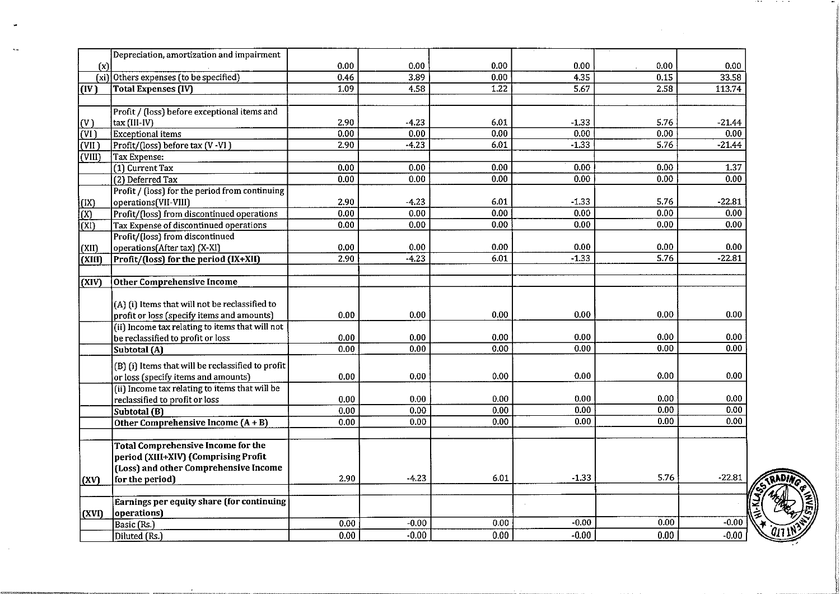|                          | Depreciation, amortization and impairment         |      |         |      |         |                   |          |
|--------------------------|---------------------------------------------------|------|---------|------|---------|-------------------|----------|
| (x)                      |                                                   | 0.00 | 0.00    | 0.00 | 0.00    | 0.00              | 0.00     |
|                          | (xi) Others expenses (to be specified)            | 0.46 | 3.89    | 0.00 | 4.35    | $\overline{0.15}$ | 33.58    |
| (IV)                     | <b>Total Expenses (IV)</b>                        | 1,09 | 4,58    | 1.22 | 5.67    | 2.58              | 11374    |
|                          |                                                   |      |         |      |         |                   |          |
|                          | Profit / (loss) before exceptional items and      |      |         |      |         |                   |          |
| (V)                      | tax (III-IV)                                      | 2.90 | $-4.23$ | 6.01 | $-1.33$ | 5.76              | $-21.44$ |
| $\overline{\text{(VI)}}$ | <b>Exceptional items</b>                          | 0.00 | 0.00    | 0.00 | 0.00    | 0.00              | 0.00     |
| (VII)                    | Profit/(loss) before tax (V-VI)                   | 2.90 | $-4.23$ | 6.01 | $-1.33$ | 5.76              | $-21.44$ |
| $\vert$ (VIII)           | Tax Expense:                                      |      |         |      |         |                   |          |
|                          | (1) Current Tax                                   | 0.00 | 0.00    | 0.00 | 0.00    | 0.00              | 1.37     |
|                          | (2) Deferred Tax                                  | 0.00 | 0.00    | 0.00 | 0.00    | 0.00              | 0.00     |
|                          | Profit / (loss) for the period from continuing    |      |         |      |         |                   |          |
| (IX)                     | operations(VII-VIII)                              | 2.90 | $-4.23$ | 6.01 | $-1.33$ | 5.76              | -22.81   |
| $\overline{(\text{X})}$  | Profit/(loss) from discontinued operations        | 0.00 | 0.00    | 0.00 | 0.00    | 0.00              | 0.00     |
| $\overline{\text{(XI)}}$ | Tax Expense of discontinued operations            | 0.00 | 0.00    | 0.00 | 0.00    | 0.00              | 0.00     |
|                          | Profit/(loss) from discontinued                   |      |         |      |         |                   |          |
| (XII)                    | operations(After tax) (X-XI)                      | 0.00 | 0.00    | 0.00 | 0.00    | 0.00              | 0.00     |
| (XIII)                   | Profit/(loss) for the period (IX+XII)             | 2.90 | $-4.23$ | 6.01 | $-1.33$ | 5.76              | $-22.81$ |
|                          |                                                   |      |         |      |         |                   |          |
| (XIV)                    | <b>Other Comprehensive Income</b>                 |      |         |      |         |                   |          |
|                          |                                                   |      |         |      |         |                   |          |
|                          | (A) (i) Items that will not be reclassified to    |      |         |      |         |                   |          |
|                          | profit or loss (specify items and amounts)        | 0.00 | 0.00    | 0.00 | 0.00    | 0.00              | 0.00     |
|                          | (ii) Income tax relating to items that will not   |      |         |      |         |                   |          |
|                          | be reclassified to profit or loss                 | 0.00 | 0.00    | 0.00 | 0.00    | 0.00              | 0.00     |
|                          | Subtotal (A)                                      | 0.00 | 0.00    | 0.00 | 0.00    | 0.00              | 0.00     |
|                          | (B) (i) Items that will be reclassified to profit |      |         |      |         |                   |          |
|                          | or loss (specify items and amounts)               | 0.00 | 0.00    | 0.00 | 0.00    | 0.00              | 0.00     |
|                          | (ii) Income tax relating to items that will be    |      |         |      |         |                   |          |
|                          | reclassified to profit or loss                    | 0.00 | 0.00    | 0.00 | 0.00    | 0.00              | 0.00     |
|                          | Subtotal (B)                                      | 0.00 | 0.00    | 0.00 | 0.00    | 0.00              | 0.00     |
|                          | Other Comprehensive Income (A+B)                  | 0.00 | 0.00    | 0.00 | 0.00    | 0.00              | 0.00     |
|                          |                                                   |      |         |      |         |                   |          |
|                          | <b>Total Comprehensive Income for the</b>         |      |         |      |         |                   |          |
|                          | period (XIII+XIV) (Comprising Profit              |      |         |      |         |                   |          |
|                          | (Loss) and other Comprehensive Income             |      |         |      |         |                   |          |
| (XV)                     | for the period)                                   | 2.90 | $-4.23$ | 6.01 | $-1.33$ | 5.76              | $-22.81$ |
|                          |                                                   |      |         |      |         |                   |          |
|                          | Earnings per equity share (for continuing         |      |         |      |         |                   |          |
| (XVI)                    | operations)                                       |      |         |      |         |                   |          |
|                          | Basic (Rs.)                                       | 0.00 | $-0.00$ | 0.00 | $-0.00$ | 0.00              | $-0.00$  |
|                          | Diluted (Rs.)                                     | 0.00 | $-0.00$ | 0.00 | $-0.00$ | 0.00              | $-0.00$  |
|                          |                                                   |      |         |      |         |                   |          |

 $\ddot{\phantom{a}}$ 



 $\cdots$ 

contract and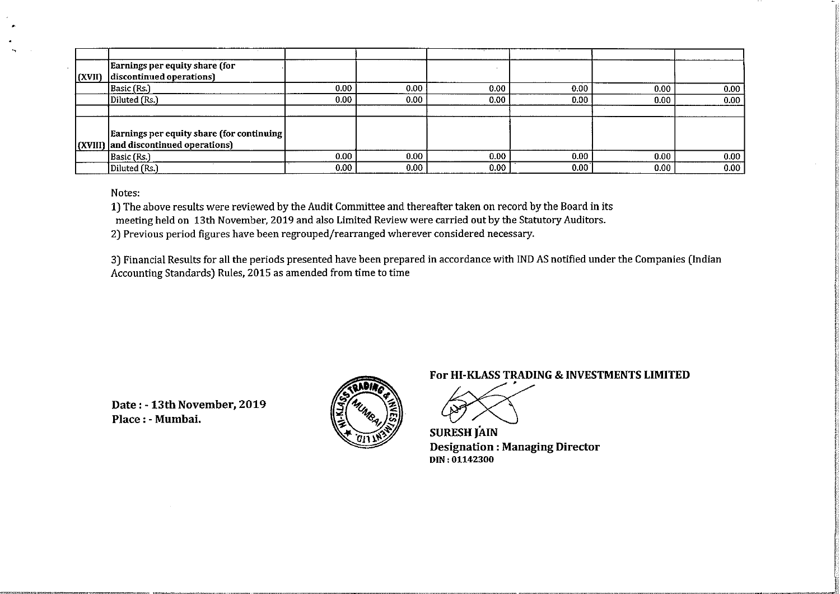|                | Earnings per equity share (for             |                   |                   |      |      |      |      |
|----------------|--------------------------------------------|-------------------|-------------------|------|------|------|------|
| $\vert$ (XVII) | discontinued operations)                   |                   |                   |      |      |      |      |
|                | Basic (Rs.)                                | 0.00 <sub>1</sub> | 0.00              | 0.00 | 0.00 | 0.00 | 0.00 |
|                | Diluted (Rs.)                              | 0.00 <sub>1</sub> | 0.00              | 0.00 | 0.00 | 0.00 | 0.00 |
|                |                                            |                   |                   |      |      |      |      |
|                |                                            |                   |                   |      |      |      |      |
|                | Earnings per equity share (for continuing) |                   |                   |      |      |      |      |
|                | (XVIII) and discontinued operations)       |                   |                   |      |      |      |      |
|                | Basic (Rs.)                                | 0.00              | 0.00              | 0.00 | 0.00 | 0.00 | 0.00 |
|                | Diluted (Rs.)                              | 0.00 <sub>1</sub> | 0.00 <sub>1</sub> | 0.00 | 0.00 | 0.00 | 0.00 |

Notes:

1) The above results were reviewed by the Audit Committee and thereafter taken on record by the Board in its

meeting held on 13th November, 2019 and also Limited Review were carried out by the Statutory Auditors.

**2)** Previous period figures have been regrouped/rearranged wherever considered necessary.

**3)** Financial Results for all the periods presented have been prepared in accordance with IND AS notified under the Companies (Indian Accounting Standards) Rules, 2015 as amended from time to time

**Date** : - **13th November, 2019 Place** : - **Mumhai.** 



**For HI-KLASS TRADING** & **INVESTMENTS LIMITED** 

**SURESH JAIN Designation : Managing Director DIN: 01142300**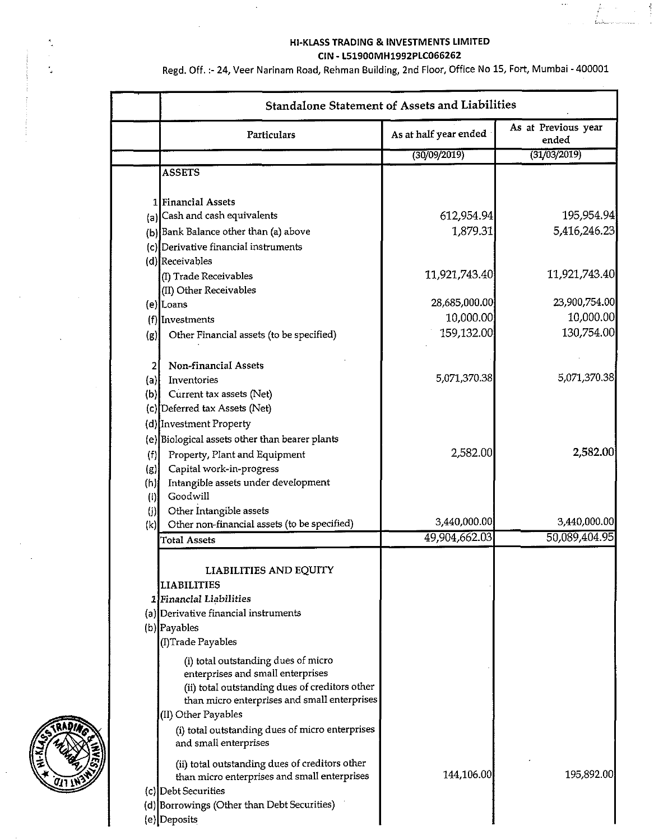### HI-KLASS TRADING & INVESTMENTS LIMITED CIN - L51900MH1992PLC066262

Regd. Off. :- 24, Veer Narinam Road, Rehman Building, 2nd Floor, Office No 15, Fort, Mumbai - 400001

|                                                                          | <b>Standalone Statement of Assets and Liabilities</b> |                              |  |  |  |  |
|--------------------------------------------------------------------------|-------------------------------------------------------|------------------------------|--|--|--|--|
| Particulars                                                              | As at half year ended                                 | As at Previous year<br>ended |  |  |  |  |
|                                                                          | (30/09/2019)                                          | (31/03/2019)                 |  |  |  |  |
| <b>ASSETS</b>                                                            |                                                       |                              |  |  |  |  |
| 1 Financial Assets                                                       |                                                       |                              |  |  |  |  |
| (a) Cash and cash equivalents                                            | 612,954.94                                            | 195,954.94                   |  |  |  |  |
| (b) Bank Balance other than (a) above                                    | 1,879.31                                              | 5,416,246.23                 |  |  |  |  |
| (c)Derivative financial instruments                                      |                                                       |                              |  |  |  |  |
| (d) Receivables                                                          |                                                       |                              |  |  |  |  |
| (I) Trade Receivables                                                    | 11,921,743.40                                         | 11,921,743.40                |  |  |  |  |
| (II) Other Receivables                                                   |                                                       |                              |  |  |  |  |
| (e) Loans                                                                | 28,685,000.00                                         | 23,900,754.00                |  |  |  |  |
| $(t)$ Investments                                                        | 10,000.00                                             | 10,000.00                    |  |  |  |  |
| Other Financial assets (to be specified)<br>(g)                          | 159,132.00                                            | 130,754.00                   |  |  |  |  |
| Non-financial Assets<br>2                                                |                                                       |                              |  |  |  |  |
| Inventories<br>(a)                                                       | 5.071,370.38                                          | 5,071,370.38                 |  |  |  |  |
| (b) Current tax assets (Net)                                             |                                                       |                              |  |  |  |  |
| (c) Deferred tax Assets (Net)                                            |                                                       |                              |  |  |  |  |
| (d) Investment Property                                                  |                                                       |                              |  |  |  |  |
| (e) Biological assets other than bearer plants                           |                                                       |                              |  |  |  |  |
| (f)<br>Property, Plant and Equipment                                     | 2,582.00                                              | 2,582.00                     |  |  |  |  |
| Capital work-in-progress<br>(g)                                          |                                                       |                              |  |  |  |  |
| Intangible assets under development<br>(h)                               |                                                       |                              |  |  |  |  |
| Goodwill<br>$\mathbf{I}$                                                 |                                                       |                              |  |  |  |  |
| (j) Other Intangible assets                                              |                                                       |                              |  |  |  |  |
| (k) Other non-financial assets (to be specified)                         | 3,440,000.00                                          | 3,440,000.00                 |  |  |  |  |
| <b>Total Assets</b>                                                      | 49,904,662.03                                         | 50,089,404.95                |  |  |  |  |
| LIABILITIES AND EQUITY                                                   |                                                       |                              |  |  |  |  |
| <b>LIABILITIES</b>                                                       |                                                       |                              |  |  |  |  |
| 1 Financial Liabilities                                                  |                                                       |                              |  |  |  |  |
| (a) Derivative financial instruments                                     |                                                       |                              |  |  |  |  |
| (b) Payables                                                             |                                                       |                              |  |  |  |  |
| (I)Trade Payables                                                        |                                                       |                              |  |  |  |  |
| (i) total outstanding dues of micro                                      |                                                       |                              |  |  |  |  |
| enterprises and small enterprises                                        |                                                       |                              |  |  |  |  |
| (ii) total outstanding dues of creditors other                           |                                                       |                              |  |  |  |  |
| than micro enterprises and small enterprises                             |                                                       |                              |  |  |  |  |
| (II) Other Payables                                                      |                                                       |                              |  |  |  |  |
| (i) total outstanding dues of micro enterprises<br>and small enterprises |                                                       |                              |  |  |  |  |
| (ii) total outstanding dues of creditors other                           |                                                       |                              |  |  |  |  |
| than micro enterprises and small enterprises                             | 144,106.00                                            | 195,892.00                   |  |  |  |  |
| (c) Debt Securities                                                      |                                                       |                              |  |  |  |  |
| (d) Borrowings (Other than Debt Securities)                              |                                                       |                              |  |  |  |  |
| (e) Deposits                                                             |                                                       |                              |  |  |  |  |



 $\frac{1}{\alpha}$ 

t.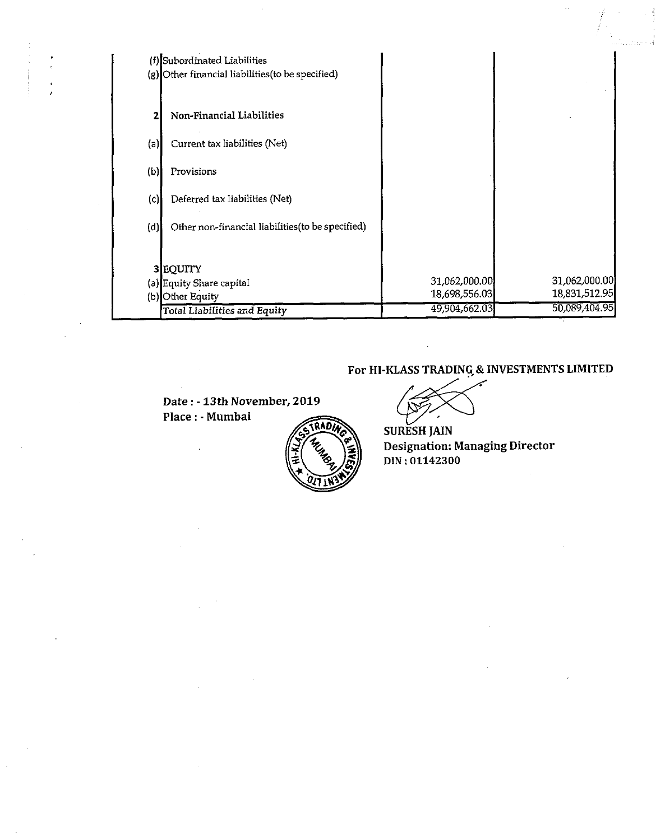|     | (f) Subordinated Liabilities<br>(g) Other financial liabilities (to be specified) |                                |                                |
|-----|-----------------------------------------------------------------------------------|--------------------------------|--------------------------------|
|     | Non-Financial Liabilities                                                         |                                |                                |
| (a) | Current tax liabilities (Net)                                                     |                                |                                |
| (b) | Provisions                                                                        |                                |                                |
| (c) | Deferred tax liabilities (Net)                                                    |                                |                                |
| (d) | Other non-financial liabilities (to be specified)                                 |                                |                                |
|     | 3 EQUITY<br>(a) Equity Share capital<br>(b) Other Equity                          | 31,062,000.00<br>18,698,556.03 | 31,062,000.00<br>18,831,512.95 |
|     | Total Liabilities and Equity                                                      | 49,904,662.03                  | 50,089,404.95                  |

**Date:** - **13th November, 2019 Place** : - **Mumbai** 



**For HI-KLASS TRADING,& INVESTMENTS LIMITED** 

**SURESH JAlN Designation: Managing Director DIN** : **01142300**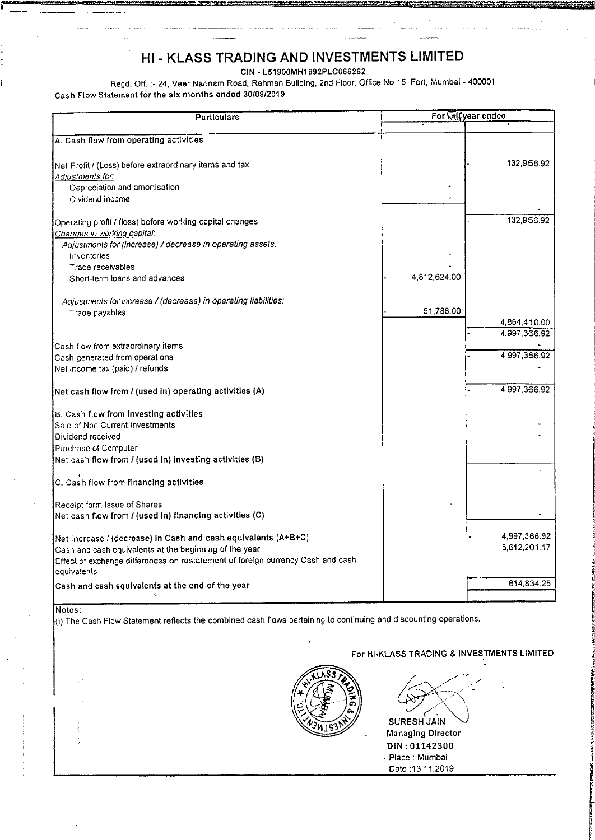# **HI** - **KLASS TRADING AND INVESTMENTS LIMITED**

CIN - L51900MH1992PLCO66262

Regd. Off. :- 24, Veer Narinam Road, Rehman Building, 2nd Floor, Office No 15, Fort, Mumbai - 400001 Cash Flow Statement for the six months ended 30/09/2019

| Particulars                                                                                    | For <b>Malfyear</b> ended |              |  |
|------------------------------------------------------------------------------------------------|---------------------------|--------------|--|
|                                                                                                |                           |              |  |
| A. Cash flow from operating activities                                                         |                           |              |  |
| Net Profit / (Loss) before extraordinary items and tax                                         |                           | 132,956.92   |  |
| Adjustme <u>nts for:</u>                                                                       |                           |              |  |
| Depreciation and amortisation                                                                  |                           |              |  |
| Dividend income                                                                                |                           |              |  |
| Operating profit / (loss) before working capital changes                                       |                           | 132,956.92   |  |
| Changes in working capital:                                                                    |                           |              |  |
| Adjustments for (increase) / decrease in operating assets:                                     |                           |              |  |
| Inventories                                                                                    |                           |              |  |
| Trade receivables                                                                              |                           |              |  |
| Short-term loans and advances                                                                  | 4,812,624.00              |              |  |
| Adjustments for increase / (decrease) in operating liabilities.                                |                           |              |  |
| Trade payables                                                                                 | 51,786.00                 |              |  |
|                                                                                                |                           | 4,864,410.00 |  |
|                                                                                                |                           | 4,997,366.92 |  |
| Cash flow from extraordinary items                                                             |                           |              |  |
| Cash generated from operations                                                                 |                           | 4,997,366.92 |  |
| Net income tax (paid) / refunds                                                                |                           |              |  |
| Net cash flow from / (used in) operating activities (A)                                        |                           | 4,997,366.92 |  |
| B. Cash flow from Investing activities                                                         |                           |              |  |
| Sale of Non Current Investments                                                                |                           |              |  |
| Dividend received                                                                              |                           |              |  |
| Purchase of Computer                                                                           |                           |              |  |
| Net cash flow from / (used in) investing activities (B)                                        |                           |              |  |
| C. Cash flow from financing activities                                                         |                           |              |  |
| Receipt form Issue of Shares                                                                   |                           |              |  |
| Net cash flow from / (used in) financing activities (C)                                        |                           |              |  |
| Net increase / (decrease) in Cash and cash equivalents (A+B+C)                                 |                           | 4,997,366.92 |  |
| Cash and cash equivalents at the beginning of the year                                         |                           | 5,612,201.17 |  |
| Effect of exchange differences on restatement of foreign currency Cash and cash<br>equivalents |                           |              |  |
| Cash and cash equivalents at the end of the year                                               |                           | 614,834.25   |  |
|                                                                                                |                           |              |  |
|                                                                                                |                           |              |  |

Notes:

! j

!

 $\ket{\mathfrak{g}}$  The Cash Flow Statement reflects the combined cash flows pertaining to continuing and discounting operations.

### For HI-KLASS TRADING & INVESTMENTS LIMITED



SURESH JAlN . Managlng Director DIN: 01142300 . Place : Mumbai

Date :13.11.2019